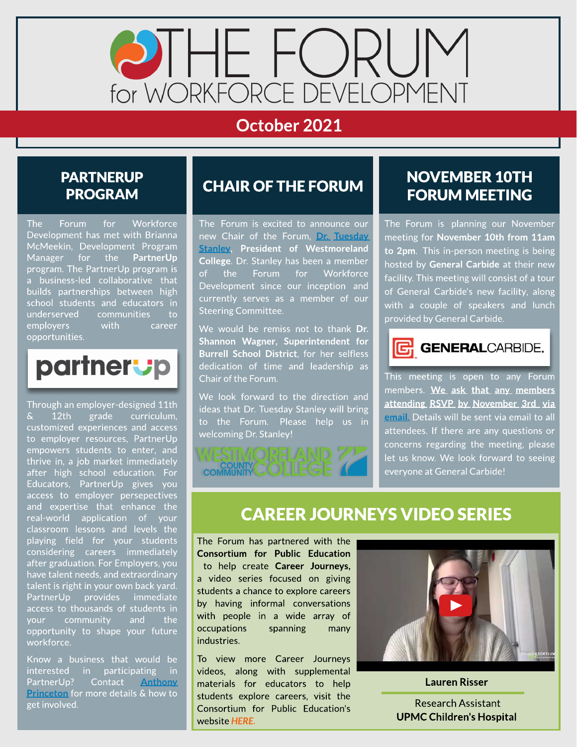

## October 2021

#### **PARTNERUP** PROGRAM

The Forum for Workforce Development has met with Brianna McMeekin, Development Program Manager for the PartnerUp program. The PartnerUp program is a business-led collaborative that builds partnerships between high school students and educators in underserved communities to employers with career opportunities.



Through an employer-designed 11th & 12th grade curriculum, customized experiences and access to employer resources, PartnerUp empowers students to enter, and thrive in, a job market immediately after high school education. For Educators, PartnerUp gives you access to employer persepectives and expertise that enhance the real-world application of your classroom lessons and levels the playing field for your students considering careers immediately after graduation. For Employers, you have talent needs, and extraordinary talent is right in your own back yard. PartnerUp provides immediate access to thousands of students in your community and the opportunity to shape your future workforce.

Know a business that would be interested in participating in PartnerUp? Contact [Anthony](mailto:aprinceton@egcw.org) [Princeton](mailto:aprinceton@egcw.org) for more details & how to get involved.

### **CHAIR OF THE FORUM**

The Forum is excited to announce our new Chair of the Forum, [Dr.](https://westmoreland.edu/about/leadership/presidents-biography.html) [Tuesday](https://westmoreland.edu/about/leadership/presidents-biography.html) **[Stanley,](https://westmoreland.edu/about/leadership/presidents-biography.html) President of Westmoreland** College. Dr. Stanley has been a member of the Forum for Workforce Development since our inception and currently serves as a member of our Steering Committee.

We would be remiss not to thank Dr. Shannon Wagner, Superintendent for Burrell School District, for her selfless dedication of time and leadership as Chair of the Forum.

We look forward to the direction and ideas that Dr. Tuesday Stanley will bring to the Forum. Please help us in welcoming Dr. Stanley!



#### **NOVEMBER 10TH** FORUM MEETING

The Forum is planning our November meeting for November 10th from 11am to 2pm. This in-person meeting is being hosted by General Carbide at their new facility. This meeting will consist of a tour of General Carbide's new facility, along with a couple of speakers and lunch provided by General Carbide.



This meeting is open to any Forum members. We ask that any members attending RSVP by November 3rd via [email](mailto:aprinceton@egcw.org). Details will be sent via email to all attendees. If there are any questions or concerns regarding the meeting, please let us know. We look forward to seeing everyone at General Carbide!

#### **CAREER JOURNEYS VIDEO SERIES**

The Forum has partnered with the Consortium for Public Education to help create Career Journeys, a video series focused on giving students a chance to explore careers by having informal conversations with people in a wide array of occupations spanning many industries.

To view more Career Journeys videos, along with supplemental materials for educators to help students explore careers, visit the Consortium for Public Education's website **[HERE.](https://www.theconsortiumforpubliceducation.org/career-journeys/)**



Lauren Risser .

Research Assistant UPMC Children's Hospital